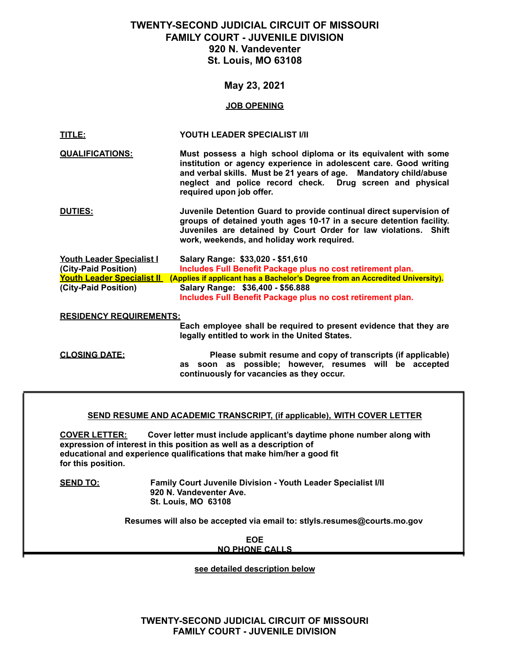# **TWENTY-SECOND JUDICIAL CIRCUIT OF MISSOURI FAMILY COURT - JUVENILE DIVISION 920 N. Vandeventer St. Louis, MO 63108**

## **May 23, 2021**

#### **JOB OPENING**

| TITLE:                         | YOUTH LEADER SPECIALIST I/II                                                                                                                                                                                                                                                                      |
|--------------------------------|---------------------------------------------------------------------------------------------------------------------------------------------------------------------------------------------------------------------------------------------------------------------------------------------------|
| <b>QUALIFICATIONS:</b>         | Must possess a high school diploma or its equivalent with some<br>institution or agency experience in adolescent care. Good writing<br>and verbal skills. Must be 21 years of age. Mandatory child/abuse<br>neglect and police record check. Drug screen and physical<br>required upon job offer. |
| <b>DUTIES:</b>                 | Juvenile Detention Guard to provide continual direct supervision of<br>groups of detained youth ages 10-17 in a secure detention facility.<br>Juveniles are detained by Court Order for law violations. Shift<br>work, weekends, and holiday work required.                                       |
| Youth Leader Specialist I      | Salary Range: \$33,020 - \$51,610                                                                                                                                                                                                                                                                 |
| (City-Paid Position)           | Includes Full Benefit Package plus no cost retirement plan.                                                                                                                                                                                                                                       |
|                                | Youth Leader Specialist II (Applies if applicant has a Bachelor's Degree from an Accredited University).                                                                                                                                                                                          |
| (City-Paid Position)           | Salary Range: \$36,400 - \$56.888<br>Includes Full Benefit Package plus no cost retirement plan.                                                                                                                                                                                                  |
| <b>RESIDENCY REQUIREMENTS:</b> |                                                                                                                                                                                                                                                                                                   |
|                                | Each employee shall be required to present evidence that they are<br>legally entitled to work in the United States.                                                                                                                                                                               |
| <b>CLOSING DATE:</b>           | Please submit resume and copy of transcripts (if applicable)<br>as soon as possible; however, resumes will be accepted<br>continuously for vacancies as they occur.                                                                                                                               |

#### **SEND RESUME AND ACADEMIC TRANSCRIPT, (if applicable), WITH COVER LETTER**

**COVER LETTER: Cover letter must include applicant's daytime phone number along with expression of interest in this position as well as a description of educational and experience qualifications that make him/her a good fit for this position.**

**SEND TO: Family Court Juvenile Division - Youth Leader Specialist I/II 920 N. Vandeventer Ave. St. Louis, MO 63108**

**Resumes will also be accepted via email to: stlyls.resumes@courts.mo.gov**

**EOE NO PHONE CALLS**

**see detailed description below**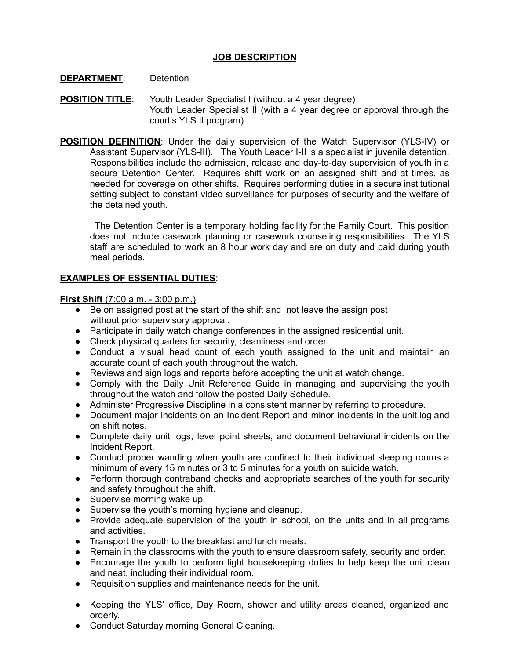## **JOB DESCRIPTION**

## **DEPARTMENT**: Detention

- **POSITION TITLE**: Youth Leader Specialist I (without a 4 year degree) Youth Leader Specialist II (with a 4 year degree or approval through the court's YLS II program)
- **POSITION DEFINITION**: Under the daily supervision of the Watch Supervisor (YLS-IV) or Assistant Supervisor (YLS-III). The Youth Leader I-II is a specialist in juvenile detention. Responsibilities include the admission, release and day-to-day supervision of youth in a secure Detention Center. Requires shift work on an assigned shift and at times, as needed for coverage on other shifts. Requires performing duties in a secure institutional setting subject to constant video surveillance for purposes of security and the welfare of the detained youth.

The Detention Center is a temporary holding facility for the Family Court. This position does not include casework planning or casework counseling responsibilities. The YLS staff are scheduled to work an 8 hour work day and are on duty and paid during youth meal periods.

# **EXAMPLES OF ESSENTIAL DUTIES**:

**First Shift** (7:00 a.m. - 3:00 p.m.)

- Be on assigned post at the start of the shift and not leave the assign post without prior supervisory approval.
- Participate in daily watch change conferences in the assigned residential unit.
- Check physical quarters for security, cleanliness and order.
- Conduct a visual head count of each youth assigned to the unit and maintain an accurate count of each youth throughout the watch.
- Reviews and sign logs and reports before accepting the unit at watch change.
- Comply with the Daily Unit Reference Guide in managing and supervising the youth throughout the watch and follow the posted Daily Schedule.
- Administer Progressive Discipline in a consistent manner by referring to procedure.
- Document major incidents on an Incident Report and minor incidents in the unit log and on shift notes.
- Complete daily unit logs, level point sheets, and document behavioral incidents on the Incident Report.
- Conduct proper wanding when youth are confined to their individual sleeping rooms a minimum of every 15 minutes or 3 to 5 minutes for a youth on suicide watch.
- Perform thorough contraband checks and appropriate searches of the youth for security and safety throughout the shift.
- Supervise morning wake up.
- Supervise the youth's morning hygiene and cleanup.
- Provide adequate supervision of the youth in school, on the units and in all programs and activities.
- Transport the youth to the breakfast and lunch meals.
- Remain in the classrooms with the youth to ensure classroom safety, security and order.
- Encourage the youth to perform light housekeeping duties to help keep the unit clean and neat, including their individual room.
- Requisition supplies and maintenance needs for the unit.
- Keeping the YLS' office, Day Room, shower and utility areas cleaned, organized and orderly.
- Conduct Saturday morning General Cleaning.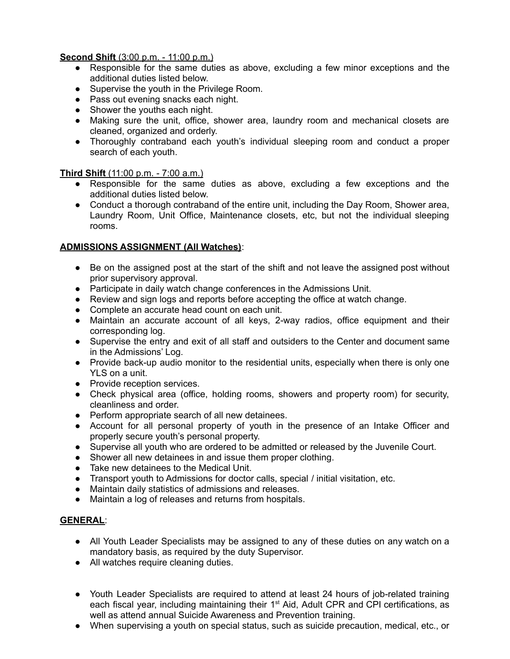# **Second Shift** (3:00 p.m. - 11:00 p.m.)

- Responsible for the same duties as above, excluding a few minor exceptions and the additional duties listed below.
- Supervise the youth in the Privilege Room.
- Pass out evening snacks each night.
- Shower the youths each night.
- Making sure the unit, office, shower area, laundry room and mechanical closets are cleaned, organized and orderly.
- Thoroughly contraband each youth's individual sleeping room and conduct a proper search of each youth.

## **Third Shift** (11:00 p.m. - 7:00 a.m.)

- Responsible for the same duties as above, excluding a few exceptions and the additional duties listed below.
- Conduct a thorough contraband of the entire unit, including the Day Room, Shower area, Laundry Room, Unit Office, Maintenance closets, etc, but not the individual sleeping rooms.

## **ADMISSIONS ASSIGNMENT (All Watches)**:

- Be on the assigned post at the start of the shift and not leave the assigned post without prior supervisory approval.
- Participate in daily watch change conferences in the Admissions Unit.
- Review and sign logs and reports before accepting the office at watch change.
- Complete an accurate head count on each unit.
- Maintain an accurate account of all keys, 2-way radios, office equipment and their corresponding log.
- Supervise the entry and exit of all staff and outsiders to the Center and document same in the Admissions' Log.
- Provide back-up audio monitor to the residential units, especially when there is only one YLS on a unit.
- Provide reception services.
- Check physical area (office, holding rooms, showers and property room) for security, cleanliness and order.
- Perform appropriate search of all new detainees.
- Account for all personal property of youth in the presence of an Intake Officer and properly secure youth's personal property.
- Supervise all youth who are ordered to be admitted or released by the Juvenile Court.
- Shower all new detainees in and issue them proper clothing.
- Take new detainees to the Medical Unit.
- Transport youth to Admissions for doctor calls, special / initial visitation, etc.
- Maintain daily statistics of admissions and releases.
- Maintain a log of releases and returns from hospitals.

## **GENERAL**:

- All Youth Leader Specialists may be assigned to any of these duties on any watch on a mandatory basis, as required by the duty Supervisor.
- All watches require cleaning duties.
- Youth Leader Specialists are required to attend at least 24 hours of job-related training each fiscal year, including maintaining their 1<sup>st</sup> Aid, Adult CPR and CPI certifications, as well as attend annual Suicide Awareness and Prevention training.
- When supervising a youth on special status, such as suicide precaution, medical, etc., or